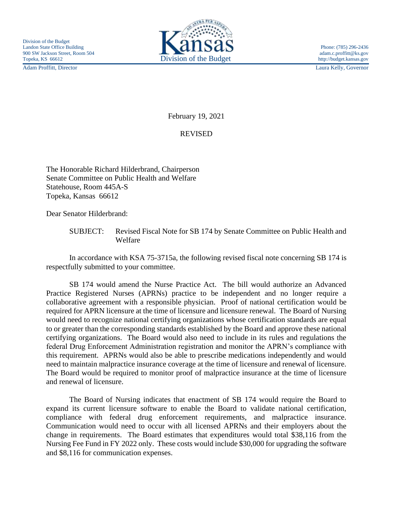Adam Proffitt, Director Laura Kelly, Governor



February 19, 2021

## REVISED

The Honorable Richard Hilderbrand, Chairperson Senate Committee on Public Health and Welfare Statehouse, Room 445A-S Topeka, Kansas 66612

Dear Senator Hilderbrand:

SUBJECT: Revised Fiscal Note for SB 174 by Senate Committee on Public Health and Welfare

In accordance with KSA 75-3715a, the following revised fiscal note concerning SB 174 is respectfully submitted to your committee.

SB 174 would amend the Nurse Practice Act. The bill would authorize an Advanced Practice Registered Nurses (APRNs) practice to be independent and no longer require a collaborative agreement with a responsible physician. Proof of national certification would be required for APRN licensure at the time of licensure and licensure renewal. The Board of Nursing would need to recognize national certifying organizations whose certification standards are equal to or greater than the corresponding standards established by the Board and approve these national certifying organizations. The Board would also need to include in its rules and regulations the federal Drug Enforcement Administration registration and monitor the APRN's compliance with this requirement. APRNs would also be able to prescribe medications independently and would need to maintain malpractice insurance coverage at the time of licensure and renewal of licensure. The Board would be required to monitor proof of malpractice insurance at the time of licensure and renewal of licensure.

The Board of Nursing indicates that enactment of SB 174 would require the Board to expand its current licensure software to enable the Board to validate national certification, compliance with federal drug enforcement requirements, and malpractice insurance. Communication would need to occur with all licensed APRNs and their employers about the change in requirements. The Board estimates that expenditures would total \$38,116 from the Nursing Fee Fund in FY 2022 only. These costs would include \$30,000 for upgrading the software and \$8,116 for communication expenses.